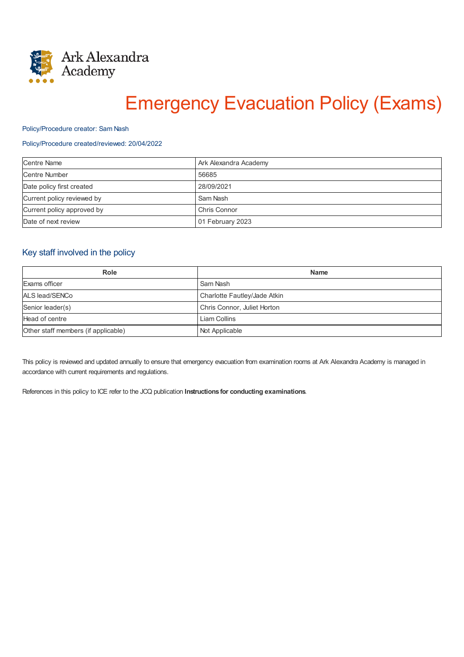

# Emergency Evacuation Policy (Exams)

#### Policy/Procedure creator: Sam Nash

## Policy/Procedure created/reviewed: 20/04/2022

| <b>Centre Name</b>         | Ark Alexandra Academy |
|----------------------------|-----------------------|
| <b>Centre Number</b>       | 56685                 |
| Date policy first created  | 28/09/2021            |
| Current policy reviewed by | Sam Nash              |
| Current policy approved by | Chris Connor          |
| Date of next review        | 01 February 2023      |

# Key staff involved in the policy

| Role                                | <b>Name</b>                  |
|-------------------------------------|------------------------------|
| Exams officer                       | Sam Nash                     |
| ALS lead/SENCo                      | Charlotte Fautley/Jade Atkin |
| Senior leader(s)                    | Chris Connor, Juliet Horton  |
| Head of centre                      | <b>Liam Collins</b>          |
| Other staff members (if applicable) | Not Applicable               |

This policy is reviewed and updated annually to ensure that emergency evacuation from examination rooms at Ark Alexandra Academy is managed in accordance with current requirements and regulations.

References in this policy to ICE refer to the JCQ publication **Instructions for conducting examinations**.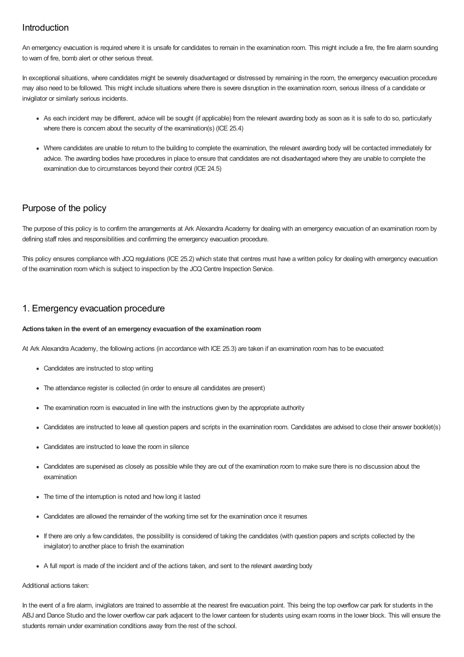# Introduction

An emergency evacuation is required where it is unsafe for candidates to remain in the examination room. This might include a fire, the fire alarm sounding to warn of fire, bomb alert or other serious threat.

In exceptional situations, where candidates might be severely disadvantaged or distressed by remaining in the room, the emergency evacuation procedure may also need to be followed. This might include situations where there is severe disruption in the examination room, serious illness of a candidate or invigilator or similarly serious incidents.

- As each incident may be different, advice will be sought (if applicable) from the relevant awarding body as soon as it is safe to do so, particularly where there is concern about the security of the examination(s) (ICE 25.4)
- Where candidates are unable to return to the building to complete the examination, the relevant awarding body will be contacted immediately for advice. The awarding bodies have procedures in place to ensure that candidates are not disadvantaged where they are unable to complete the examination due to circumstances beyond their control (ICE 24.5)

# Purpose of the policy

The purpose of this policy is to confirm the arrangements at Ark Alexandra Academy for dealing with an emergency evacuation of an examination room by defining staff roles and responsibilities and confirming the emergency evacuation procedure.

This policy ensures compliance with JCQ regulations (ICE 25.2) which state that centres must have a written policy for dealing with emergency evacuation of the examination room which is subject to inspection by the JCQ Centre Inspection Service.

# 1. Emergency evacuation procedure

## **Actions taken in the event of an emergency evacuation of the examination room**

At Ark Alexandra Academy, the following actions (in accordance with ICE 25.3) are taken if an examination room has to be evacuated:

- Candidates are instructed to stop writing
- The attendance register is collected (in order to ensure all candidates are present)
- The examination room is evacuated in line with the instructions given by the appropriate authority
- Candidates are instructed to leave all question papers and scripts in the examination room. Candidates are advised to close their answer booklet(s)
- Candidates are instructed to leave the room in silence
- Candidates are supervised as closely as possible while they are out of the examination room to make sure there is no discussion about the examination
- The time of the interruption is noted and how long it lasted
- Candidates are allowed the remainder of the working time set for the examination once it resumes
- If there are only a few candidates, the possibility is considered of taking the candidates (with question papers and scripts collected by the invigilator) to another place to finish the examination
- A full report is made of the incident and of the actions taken, and sent to the relevant awarding body

#### Additional actions taken:

In the event of a fire alarm, invigilators are trained to assemble at the nearest fire evacuation point. This being the top overflow car park for students in the ABJ and Dance Studio and the lower overflow car park adjacent to the lower canteen for students using exam rooms in the lower block. This will ensure the students remain under examination conditions away from the rest of the school.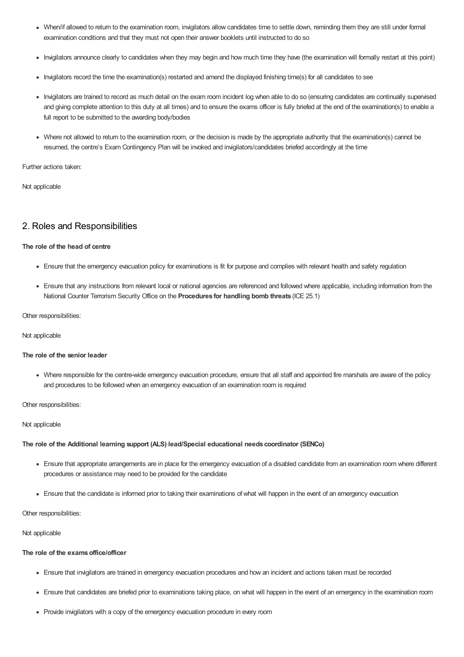- When/if allowed to return to the examination room, invigilators allow candidates time to settle down, reminding them they are still under formal examination conditions and that they must not open their answer booklets until instructed to do so
- Invigilators announce clearly to candidates when they may begin and how much time they have (the examination will formally restart at this point)
- Invigilators record the time the examination(s) restarted and amend the displayed finishing time(s) for all candidates to see
- Invigilators are trained to record as much detail on the exam room incident log when able to do so (ensuring candidates are continually supervised and giving complete attention to this duty at all times) and to ensure the exams officer is fully briefed at the end of the examination(s) to enable a full report to be submitted to the awarding body/bodies
- Where not allowed to return to the examination room, or the decision is made by the appropriate authority that the examination(s) cannot be resumed, the centre's Exam Contingency Plan will be invoked and invigilators/candidates briefed accordingly at the time

Further actions taken:

Not applicable

# 2. Roles and Responsibilities

## **The role of the head of centre**

- Ensure that the emergency evacuation policy for examinations is fit for purpose and complies with relevant health and safety regulation
- Ensure that any instructions from relevant local or national agencies are referenced and followed where applicable, including information from the National Counter Terrorism Security Office on the **Procedures for handling bomb threats** (ICE 25.1)

Other responsibilities:

Not applicable

## **The role of the senior leader**

Where responsible for the centre-wide emergency evacuation procedure, ensure that all staff and appointed fire marshals are aware of the policy and procedures to be followed when an emergency evacuation of an examination room is required

Other responsibilities:

#### Not applicable

#### **The role of the Additional learning support (ALS) lead/Special educational needs coordinator (SENCo)**

- Ensure that appropriate arrangements are in place for the emergency evacuation of a disabled candidate from an examination room where different procedures or assistance may need to be provided for the candidate
- Ensure that the candidate is informed prior to taking their examinations of what will happen in the event of an emergency evacuation

Other responsibilities:

### Not applicable

## **The role of the examsoffice/officer**

- Ensure that invigilators are trained in emergency evacuation procedures and how an incident and actions taken must be recorded
- Ensure that candidates are briefed prior to examinations taking place, on what will happen in the event of an emergency in the examination room
- Provide invigilators with a copy of the emergency evacuation procedure in every room